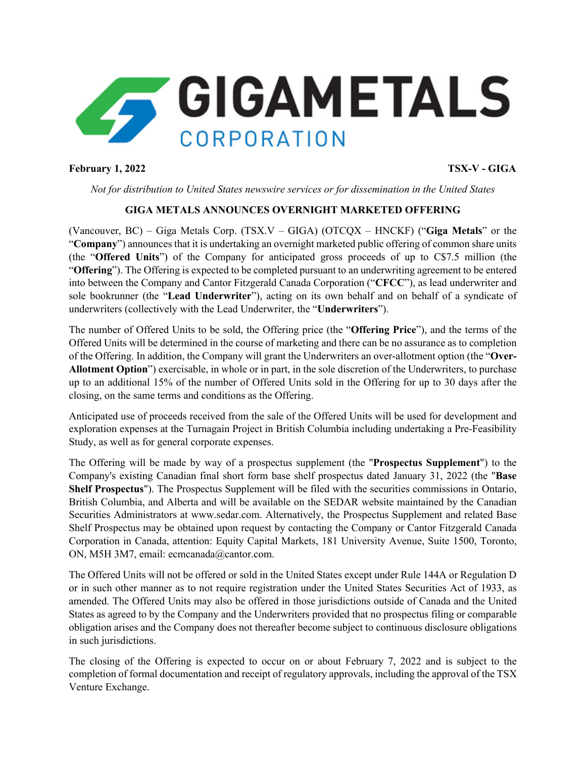

## **February 1, 2022 TSX-V - GIGA**

*Not for distribution to United States newswire services or for dissemination in the United States*

# **GIGA METALS ANNOUNCES OVERNIGHT MARKETED OFFERING**

(Vancouver, BC) – Giga Metals Corp. (TSX.V – GIGA) (OTCQX – HNCKF) ("**Giga Metals**" or the "**Company**") announces that it is undertaking an overnight marketed public offering of common share units (the "**Offered Units**") of the Company for anticipated gross proceeds of up to C\$7.5 million (the "**Offering**"). The Offering is expected to be completed pursuant to an underwriting agreement to be entered into between the Company and Cantor Fitzgerald Canada Corporation ("**CFCC**"), as lead underwriter and sole bookrunner (the "**Lead Underwriter**"), acting on its own behalf and on behalf of a syndicate of underwriters (collectively with the Lead Underwriter, the "**Underwriters**").

The number of Offered Units to be sold, the Offering price (the "**Offering Price**"), and the terms of the Offered Units will be determined in the course of marketing and there can be no assurance as to completion of the Offering. In addition, the Company will grant the Underwriters an over-allotment option (the "**Over-Allotment Option**") exercisable, in whole or in part, in the sole discretion of the Underwriters, to purchase up to an additional 15% of the number of Offered Units sold in the Offering for up to 30 days after the closing, on the same terms and conditions as the Offering.

Anticipated use of proceeds received from the sale of the Offered Units will be used for development and exploration expenses at the Turnagain Project in British Columbia including undertaking a Pre-Feasibility Study, as well as for general corporate expenses.

The Offering will be made by way of a prospectus supplement (the "**Prospectus Supplement**") to the Company's existing Canadian final short form base shelf prospectus dated January 31, 2022 (the "**Base Shelf Prospectus**"). The Prospectus Supplement will be filed with the securities commissions in Ontario, British Columbia, and Alberta and will be available on the SEDAR website maintained by the Canadian Securities Administrators at www.sedar.com. Alternatively, the Prospectus Supplement and related Base Shelf Prospectus may be obtained upon request by contacting the Company or Cantor Fitzgerald Canada Corporation in Canada, attention: Equity Capital Markets, 181 University Avenue, Suite 1500, Toronto, ON, M5H 3M7, email: ecmcanada@cantor.com.

The Offered Units will not be offered or sold in the United States except under Rule 144A or Regulation D or in such other manner as to not require registration under the United States Securities Act of 1933, as amended. The Offered Units may also be offered in those jurisdictions outside of Canada and the United States as agreed to by the Company and the Underwriters provided that no prospectus filing or comparable obligation arises and the Company does not thereafter become subject to continuous disclosure obligations in such jurisdictions.

The closing of the Offering is expected to occur on or about February 7, 2022 and is subject to the completion of formal documentation and receipt of regulatory approvals, including the approval of the TSX Venture Exchange.